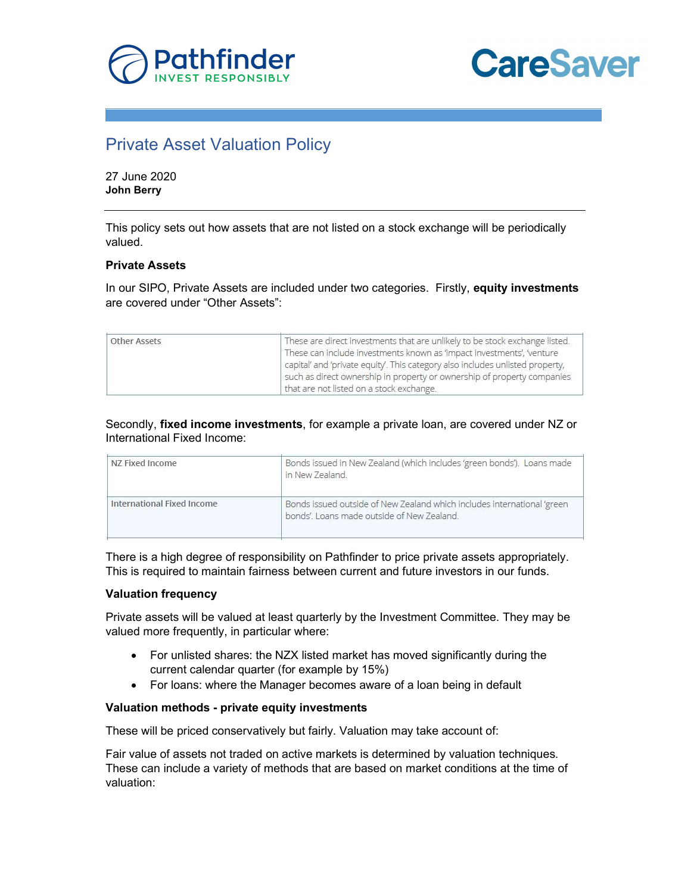

# **CareSaver**

## Private Asset Valuation Policy

27 June 2020 John Berry

This policy sets out how assets that are not listed on a stock exchange will be periodically valued.

### Private Assets

In our SIPO, Private Assets are included under two categories. Firstly, equity investments are covered under "Other Assets":

| Other Assets | These are direct investments that are unlikely to be stock exchange listed.<br>These can include investments known as 'impact investments', 'venture<br>capital' and 'private equity'. This category also includes unlisted property,<br>such as direct ownership in property or ownership of property companies |
|--------------|------------------------------------------------------------------------------------------------------------------------------------------------------------------------------------------------------------------------------------------------------------------------------------------------------------------|
|              | that are not listed on a stock exchange.                                                                                                                                                                                                                                                                         |

Secondly, fixed income investments, for example a private loan, are covered under NZ or International Fixed Income:

| NZ Fixed Income            | Bonds issued in New Zealand (which includes 'green bonds'). Loans made<br>in New Zealand.                             |
|----------------------------|-----------------------------------------------------------------------------------------------------------------------|
| International Fixed Income | Bonds issued outside of New Zealand which includes international 'green<br>bonds'. Loans made outside of New Zealand. |

There is a high degree of responsibility on Pathfinder to price private assets appropriately. This is required to maintain fairness between current and future investors in our funds.

### Valuation frequency

Private assets will be valued at least quarterly by the Investment Committee. They may be valued more frequently, in particular where:

- For unlisted shares: the NZX listed market has moved significantly during the current calendar quarter (for example by 15%)
- For loans: where the Manager becomes aware of a loan being in default

### Valuation methods - private equity investments

These will be priced conservatively but fairly. Valuation may take account of:

Fair value of assets not traded on active markets is determined by valuation techniques. These can include a variety of methods that are based on market conditions at the time of valuation: